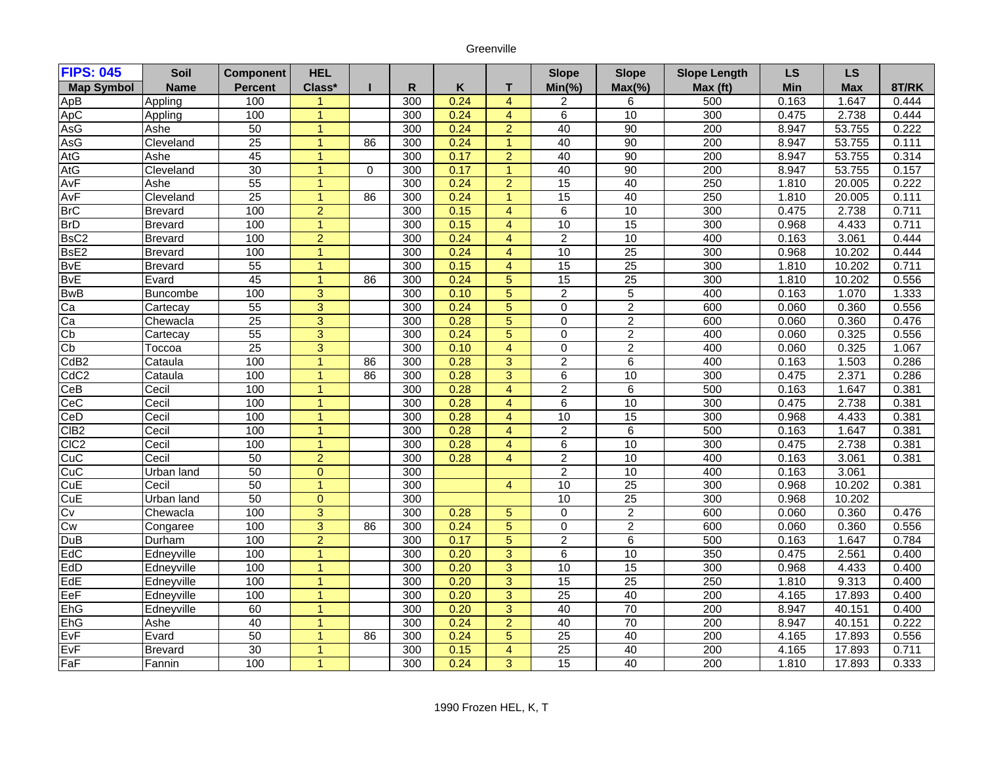## Greenville

| <b>FIPS: 045</b>        | Soil           | <b>Component</b> | <b>HEL</b>     |          |                  |         |                      | <b>Slope</b>    | <b>Slope</b>    | <b>Slope Length</b> | <b>LS</b> | LS         |       |
|-------------------------|----------------|------------------|----------------|----------|------------------|---------|----------------------|-----------------|-----------------|---------------------|-----------|------------|-------|
| <b>Map Symbol</b>       | <b>Name</b>    | <b>Percent</b>   | Class*         |          | R                | $\sf K$ | T.                   | $Min(\% )$      | $Max(\% )$      | Max (ft)            | Min       | <b>Max</b> | 8T/RK |
| ApB                     | Appling        | 100              | 1              |          | 300              | 0.24    | $\overline{4}$       | $\overline{2}$  | 6               | 500                 | 0.163     | 1.647      | 0.444 |
| ApC                     | Appling        | 100              | $\mathbf{1}$   |          | 300              | 0.24    | $\overline{4}$       | 6               | 10              | 300                 | 0.475     | 2.738      | 0.444 |
| AsG                     | Ashe           | 50               | $\overline{1}$ |          | 300              | 0.24    | $\overline{a}$       | 40              | 90              | $\overline{200}$    | 8.947     | 53.755     | 0.222 |
| AsG                     | Cleveland      | $\overline{25}$  | $\mathbf{1}$   | 86       | 300              | 0.24    | $\blacktriangleleft$ | 40              | 90              | 200                 | 8.947     | 53.755     | 0.111 |
| AtG                     | Ashe           | 45               | 1              |          | 300              | 0.17    | $\overline{2}$       | 40              | 90              | $\overline{200}$    | 8.947     | 53.755     | 0.314 |
| AtG                     | Cleveland      | 30               | 1              | $\Omega$ | 300              | 0.17    | $\mathbf{1}$         | 40              | 90              | 200                 | 8.947     | 53.755     | 0.157 |
| AvF                     | Ashe           | 55               | $\mathbf{1}$   |          | 300              | 0.24    | $\overline{2}$       | 15              | 40              | 250                 | 1.810     | 20.005     | 0.222 |
| AvF                     | Cleveland      | $\overline{25}$  | 1              | 86       | 300              | 0.24    | $\overline{1}$       | 15              | 40              | 250                 | 1.810     | 20.005     | 0.111 |
| <b>BrC</b>              | <b>Brevard</b> | 100              | $\overline{2}$ |          | 300              | 0.15    | $\overline{4}$       | 6               | 10              | 300                 | 0.475     | 2.738      | 0.711 |
| <b>BrD</b>              | <b>Brevard</b> | 100              | $\overline{1}$ |          | 300              | 0.15    | $\overline{4}$       | 10              | 15              | 300                 | 0.968     | 4.433      | 0.711 |
| BsC <sub>2</sub>        | <b>Brevard</b> | 100              | $\overline{2}$ |          | 300              | 0.24    | $\overline{4}$       | $\overline{2}$  | 10              | 400                 | 0.163     | 3.061      | 0.444 |
| BsE2                    | <b>Brevard</b> | 100              | $\mathbf{1}$   |          | 300              | 0.24    | $\overline{4}$       | 10              | 25              | 300                 | 0.968     | 10.202     | 0.444 |
| <b>B</b> <sub>V</sub> E | <b>Brevard</b> | 55               | $\mathbf{1}$   |          | $\overline{300}$ | 0.15    | $\overline{4}$       | $\overline{15}$ | $\overline{25}$ | 300                 | 1.810     | 10.202     | 0.711 |
| <b>BvE</b>              | Evard          | 45               | $\mathbf{1}$   | 86       | 300              | 0.24    | $5\phantom{.}$       | $\overline{15}$ | $\overline{25}$ | 300                 | 1.810     | 10.202     | 0.556 |
| <b>BwB</b>              | Buncombe       | 100              | 3              |          | 300              | 0.10    | 5                    | $\overline{2}$  | 5               | 400                 | 0.163     | 1.070      | 1.333 |
| $\overline{Ca}$         | Cartecay       | 55               | $\overline{3}$ |          | 300              | 0.24    | 5                    | 0               | $\overline{2}$  | 600                 | 0.060     | 0.360      | 0.556 |
| Ca                      | Chewacla       | $\overline{25}$  | $\overline{3}$ |          | 300              | 0.28    | 5                    | $\Omega$        | $\overline{2}$  | 600                 | 0.060     | 0.360      | 0.476 |
| Cp                      | Cartecay       | 55               | $\overline{3}$ |          | 300              | 0.24    | $\overline{5}$       | 0               | $\overline{c}$  | 400                 | 0.060     | 0.325      | 0.556 |
| Cb                      | Toccoa         | $\overline{25}$  | $\overline{3}$ |          | 300              | 0.10    | $\overline{4}$       | 0               | $\overline{2}$  | 400                 | 0.060     | 0.325      | 1.067 |
| CdB2                    | Cataula        | 100              | $\mathbf{1}$   | 86       | 300              | 0.28    | $\overline{3}$       | $\overline{2}$  | $\overline{6}$  | 400                 | 0.163     | 1.503      | 0.286 |
| CdC <sub>2</sub>        | Cataula        | 100              | 1              | 86       | 300              | 0.28    | $\overline{3}$       | 6               | 10              | 300                 | 0.475     | 2.371      | 0.286 |
| CeB                     | Cecil          | 100              | 1              |          | 300              | 0.28    | $\overline{4}$       | $\overline{2}$  | $\overline{6}$  | 500                 | 0.163     | 1.647      | 0.381 |
| CeC                     | Cecil          | 100              | $\overline{1}$ |          | 300              | 0.28    | $\overline{4}$       | $\overline{6}$  | 10              | 300                 | 0.475     | 2.738      | 0.381 |
| CeD                     | Cecil          | 100              | 1              |          | 300              | 0.28    | $\overline{4}$       | 10              | 15              | 300                 | 0.968     | 4.433      | 0.381 |
| CIB <sub>2</sub>        | Cecil          | 100              | $\mathbf{1}$   |          | 300              | 0.28    | $\overline{4}$       | $\overline{2}$  | 6               | 500                 | 0.163     | 1.647      | 0.381 |
| CIC <sub>2</sub>        | Cecil          | 100              | $\mathbf{1}$   |          | 300              | 0.28    | $\overline{4}$       | 6               | 10              | 300                 | 0.475     | 2.738      | 0.381 |
| CuC                     | Cecil          | 50               | $\overline{2}$ |          | 300              | 0.28    | $\overline{4}$       | $\overline{2}$  | 10              | 400                 | 0.163     | 3.061      | 0.381 |
| CuC                     | Urban land     | 50               | $\overline{0}$ |          | 300              |         |                      | $\overline{c}$  | 10              | 400                 | 0.163     | 3.061      |       |
| CuE                     | Cecil          | 50               | $\overline{1}$ |          | 300              |         | $\overline{4}$       | 10              | 25              | 300                 | 0.968     | 10.202     | 0.381 |
| CuE                     | Urban land     | 50               | $\overline{0}$ |          | 300              |         |                      | 10              | $\overline{25}$ | 300                 | 0.968     | 10.202     |       |
| Cv                      | Chewacla       | 100              | $\overline{3}$ |          | 300              | 0.28    | $\sqrt{5}$           | 0               | $\overline{2}$  | 600                 | 0.060     | 0.360      | 0.476 |
| Cw                      | Congaree       | 100              | $\overline{3}$ | 86       | 300              | 0.24    | $\overline{5}$       | 0               | $\overline{2}$  | 600                 | 0.060     | 0.360      | 0.556 |
| DuB                     | Durham         | 100              | $\overline{2}$ |          | $\overline{300}$ | 0.17    | 5                    | $\overline{2}$  | 6               | 500                 | 0.163     | 1.647      | 0.784 |
| EdC                     | Edneyville     | 100              | $\mathbf{1}$   |          | 300              | 0.20    | $\overline{3}$       | 6               | 10              | 350                 | 0.475     | 2.561      | 0.400 |
| EdD                     | Edneyville     | 100              | $\overline{1}$ |          | 300              | 0.20    | 3                    | 10              | 15              | 300                 | 0.968     | 4.433      | 0.400 |
| EdE                     | Edneyville     | 100              | $\mathbf{1}$   |          | 300              | 0.20    | $\overline{3}$       | 15              | 25              | 250                 | 1.810     | 9.313      | 0.400 |
| EeF                     | Edneyville     | 100              | $\mathbf{1}$   |          | 300              | 0.20    | 3                    | 25              | 40              | 200                 | 4.165     | 17.893     | 0.400 |
| EhG                     | Edneyville     | 60               | $\overline{1}$ |          | 300              | 0.20    | $\overline{3}$       | 40              | 70              | 200                 | 8.947     | 40.151     | 0.400 |
| EhG                     | Ashe           | 40               | $\mathbf{1}$   |          | 300              | 0.24    | $\overline{2}$       | 40              | 70              | 200                 | 8.947     | 40.151     | 0.222 |
| EvF                     | Evard          | 50               | 1              | 86       | 300              | 0.24    | 5                    | $\overline{25}$ | 40              | 200                 | 4.165     | 17.893     | 0.556 |
| EvF                     | <b>Brevard</b> | 30               | 1              |          | 300              | 0.15    | $\overline{4}$       | $\overline{25}$ | 40              | 200                 | 4.165     | 17.893     | 0.711 |
| FaF                     | Fannin         | 100              | 1              |          | 300              | 0.24    | $\overline{3}$       | 15              | 40              | 200                 | 1.810     | 17.893     | 0.333 |